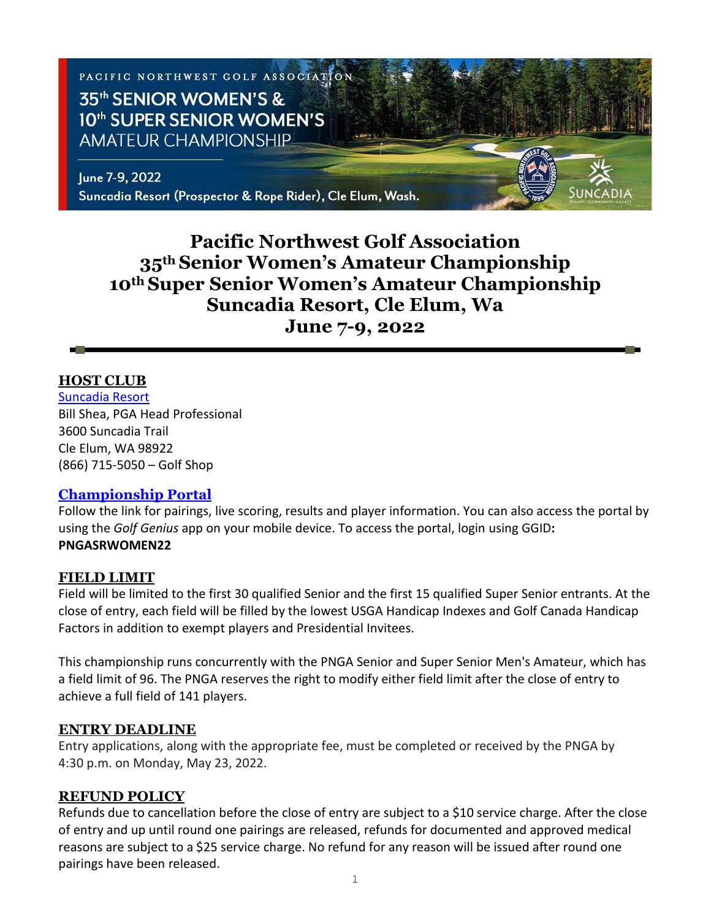

# **Pacific Northwest Golf Association 35th Senior Women's Amateur Championship 10th Super Senior Women's Amateur Championship Suncadia Resort, Cle Elum, Wa June 7-9, 2022**

#### **HOST CLUB**

[Suncadia Resort](https://www.destinationhotels.com/suncadia-resort/golf) Bill Shea, PGA Head Professional 3600 Suncadia Trail Cle Elum, WA 98922 (866) 715-5050 – Golf Shop

#### **[Championship Portal](https://www.golfgenius.com/pages/8118392584495198173)**

Follow the link for pairings, live scoring, results and player information. You can also access the portal by using the *Golf Genius* app on your mobile device. To access the portal, login using GGID**: PNGASRWOMEN22**

#### **FIELD LIMIT**

Field will be limited to the first 30 qualified Senior and the first 15 qualified Super Senior entrants. At the close of entry, each field will be filled by the lowest USGA Handicap Indexes and Golf Canada Handicap Factors in addition to exempt players and Presidential Invitees.

This championship runs concurrently with the PNGA Senior and Super Senior Men's Amateur, which has a field limit of 96. The PNGA reserves the right to modify either field limit after the close of entry to achieve a full field of 141 players.

#### **ENTRY DEADLINE**

Entry applications, along with the appropriate fee, must be completed or received by the PNGA by 4:30 p.m. on Monday, May 23, 2022.

#### **REFUND POLICY**

Refunds due to cancellation before the close of entry are subject to a \$10 service charge. After the close of entry and up until round one pairings are released, refunds for documented and approved medical reasons are subject to a \$25 service charge. No refund for any reason will be issued after round one pairings have been released.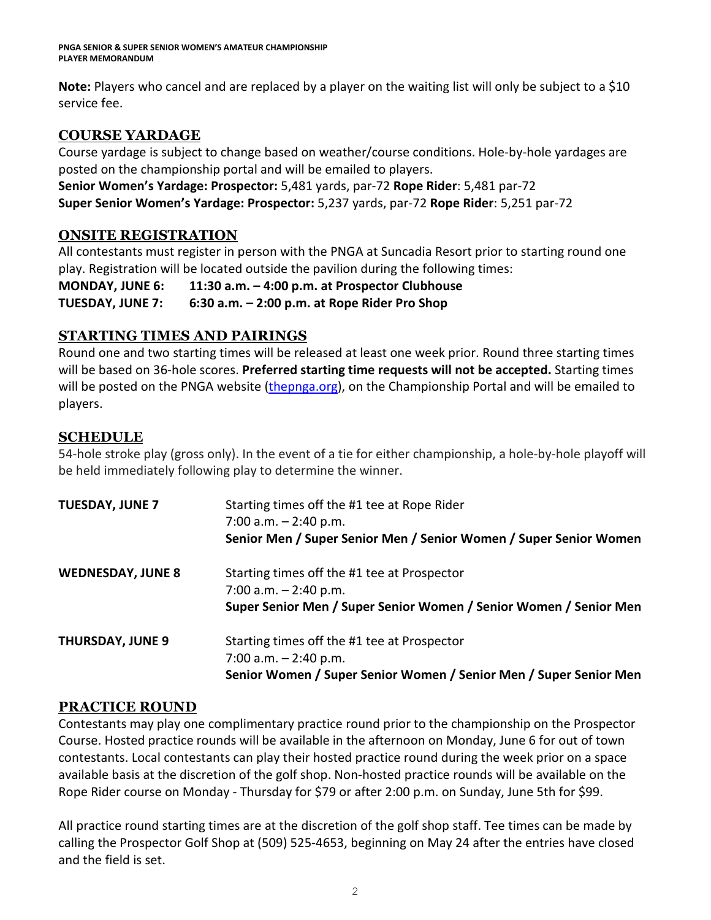**Note:** Players who cancel and are replaced by a player on the waiting list will only be subject to a \$10 service fee.

## **COURSE YARDAGE**

Course yardage is subject to change based on weather/course conditions. Hole-by-hole yardages are posted on the championship portal and will be emailed to players.

**Senior Women's Yardage: Prospector:** 5,481 yards, par-72 **Rope Rider**: 5,481 par-72 **Super Senior Women's Yardage: Prospector:** 5,237 yards, par-72 **Rope Rider**: 5,251 par-72

### **ONSITE REGISTRATION**

All contestants must register in person with the PNGA at Suncadia Resort prior to starting round one play. Registration will be located outside the pavilion during the following times:

**MONDAY, JUNE 6: 11:30 a.m. – 4:00 p.m. at Prospector Clubhouse**

**TUESDAY, JUNE 7: 6:30 a.m. – 2:00 p.m. at Rope Rider Pro Shop**

### **STARTING TIMES AND PAIRINGS**

Round one and two starting times will be released at least one week prior. Round three starting times will be based on 36-hole scores. **Preferred starting time requests will not be accepted.** Starting times will be posted on the PNGA website [\(thepnga.org\)](http://www.thepnga.org/), on the Championship Portal and will be emailed to players.

### **SCHEDULE**

54-hole stroke play (gross only). In the event of a tie for either championship, a hole-by-hole playoff will be held immediately following play to determine the winner.

| <b>TUESDAY, JUNE 7</b>   | Starting times off the #1 tee at Rope Rider<br>7:00 a.m. $-2:40$ p.m.<br>Senior Men / Super Senior Men / Senior Women / Super Senior Women  |
|--------------------------|---------------------------------------------------------------------------------------------------------------------------------------------|
| <b>WEDNESDAY, JUNE 8</b> | Starting times off the #1 tee at Prospector<br>7:00 a.m. $-2:40$ p.m.<br>Super Senior Men / Super Senior Women / Senior Women / Senior Men  |
| <b>THURSDAY, JUNE 9</b>  | Starting times off the #1 tee at Prospector<br>7:00 a.m. $-$ 2:40 p.m.<br>Senior Women / Super Senior Women / Senior Men / Super Senior Men |

### **PRACTICE ROUND**

Contestants may play one complimentary practice round prior to the championship on the Prospector Course. Hosted practice rounds will be available in the afternoon on Monday, June 6 for out of town contestants. Local contestants can play their hosted practice round during the week prior on a space available basis at the discretion of the golf shop. Non-hosted practice rounds will be available on the Rope Rider course on Monday - Thursday for \$79 or after 2:00 p.m. on Sunday, June 5th for \$99.

All practice round starting times are at the discretion of the golf shop staff. Tee times can be made by calling the Prospector Golf Shop at (509) 525-4653, beginning on May 24 after the entries have closed and the field is set.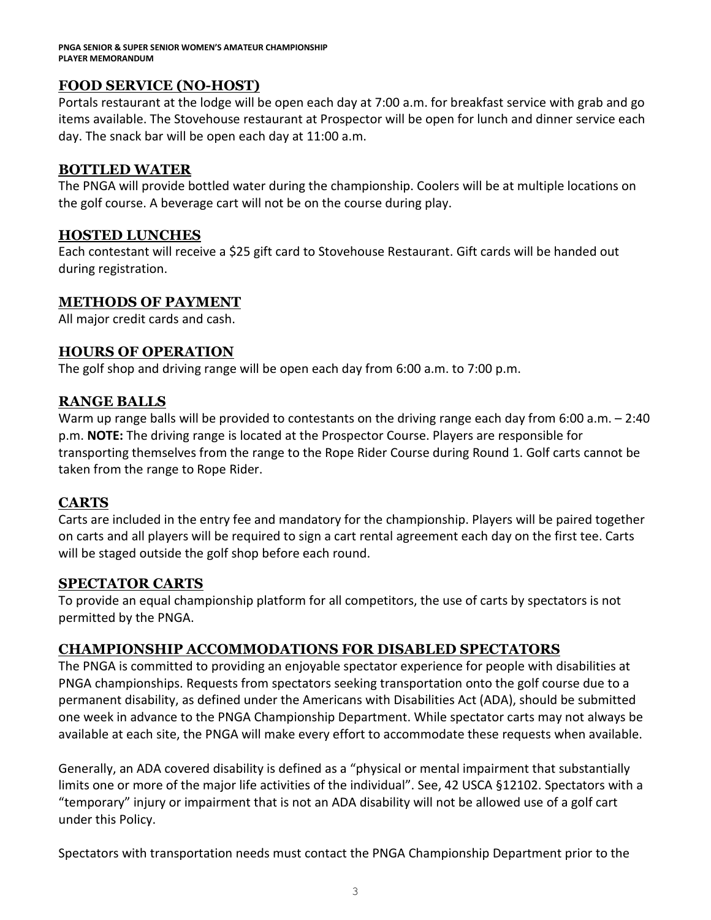**PNGA SENIOR & SUPER SENIOR WOMEN'S AMATEUR CHAMPIONSHIP PLAYER MEMORANDUM** 

### **FOOD SERVICE (NO-HOST)**

Portals restaurant at the lodge will be open each day at 7:00 a.m. for breakfast service with grab and go items available. The Stovehouse restaurant at Prospector will be open for lunch and dinner service each day. The snack bar will be open each day at 11:00 a.m.

#### **BOTTLED WATER**

The PNGA will provide bottled water during the championship. Coolers will be at multiple locations on the golf course. A beverage cart will not be on the course during play.

#### **HOSTED LUNCHES**

Each contestant will receive a \$25 gift card to Stovehouse Restaurant. Gift cards will be handed out during registration.

### **METHODS OF PAYMENT**

All major credit cards and cash.

#### **HOURS OF OPERATION**

The golf shop and driving range will be open each day from 6:00 a.m. to 7:00 p.m.

#### **RANGE BALLS**

Warm up range balls will be provided to contestants on the driving range each day from 6:00 a.m. - 2:40 p.m. **NOTE:** The driving range is located at the Prospector Course. Players are responsible for transporting themselves from the range to the Rope Rider Course during Round 1. Golf carts cannot be taken from the range to Rope Rider.

#### **CARTS**

Carts are included in the entry fee and mandatory for the championship. Players will be paired together on carts and all players will be required to sign a cart rental agreement each day on the first tee. Carts will be staged outside the golf shop before each round.

#### **SPECTATOR CARTS**

To provide an equal championship platform for all competitors, the use of carts by spectators is not permitted by the PNGA.

### **CHAMPIONSHIP ACCOMMODATIONS FOR DISABLED SPECTATORS**

The PNGA is committed to providing an enjoyable spectator experience for people with disabilities at PNGA championships. Requests from spectators seeking transportation onto the golf course due to a permanent disability, as defined under the Americans with Disabilities Act (ADA), should be submitted one week in advance to the PNGA Championship Department. While spectator carts may not always be available at each site, the PNGA will make every effort to accommodate these requests when available.

Generally, an ADA covered disability is defined as a "physical or mental impairment that substantially limits one or more of the major life activities of the individual". See, 42 USCA §12102. Spectators with a "temporary" injury or impairment that is not an ADA disability will not be allowed use of a golf cart under this Policy.

Spectators with transportation needs must contact the PNGA Championship Department prior to the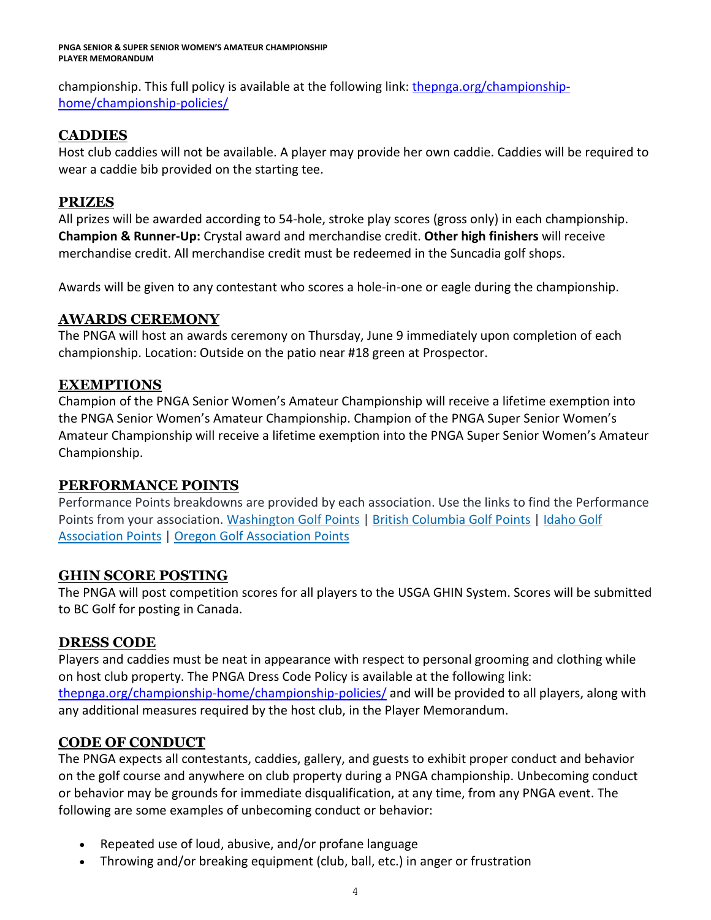#### **PNGA SENIOR & SUPER SENIOR WOMEN'S AMATEUR CHAMPIONSHIP PLAYER MEMORANDUM**

championship. This full policy is available at the following link: [thepnga.org/championship](https://thepnga.org/championship-home/championship-policies/)[home/championship-policies/](https://thepnga.org/championship-home/championship-policies/)

### **CADDIES**

Host club caddies will not be available. A player may provide her own caddie. Caddies will be required to wear a caddie bib provided on the starting tee.

### **PRIZES**

All prizes will be awarded according to 54-hole, stroke play scores (gross only) in each championship. **Champion & Runner-Up:** Crystal award and merchandise credit. **Other high finishers** will receive merchandise credit. All merchandise credit must be redeemed in the Suncadia golf shops.

Awards will be given to any contestant who scores a hole-in-one or eagle during the championship.

### **AWARDS CEREMONY**

The PNGA will host an awards ceremony on Thursday, June 9 immediately upon completion of each championship. Location: Outside on the patio near #18 green at Prospector.

### **EXEMPTIONS**

Champion of the PNGA Senior Women's Amateur Championship will receive a lifetime exemption into the PNGA Senior Women's Amateur Championship. Champion of the PNGA Super Senior Women's Amateur Championship will receive a lifetime exemption into the PNGA Super Senior Women's Amateur Championship.

### **PERFORMANCE POINTS**

Performance Points breakdowns are provided by each association. Use the links to find the Performance Points from your association. [Washington](https://wagolf.org/play/performance-points-list/) Golf Points | British [Columbia](http://britishcolumbiagolf.org/performance/orders-of-merit) Golf Points | [Idaho](http://theiga.org/championship-home/team-points-standings/) Golf [Association](http://theiga.org/championship-home/team-points-standings/) Points | Oregon Golf [Association](http://oga.org/competitions/points-lists) Points

### **GHIN SCORE POSTING**

The PNGA will post competition scores for all players to the USGA GHIN System. Scores will be submitted to BC Golf for posting in Canada.

### **DRESS CODE**

Players and caddies must be neat in appearance with respect to personal grooming and clothing while on host club property. The PNGA Dress Code Policy is available at the following link: [thepnga.org/championship-home/championship-policies/](https://thepnga.org/championship-home/championship-policies/) and will be provided to all players, along with any additional measures required by the host club, in the Player Memorandum.

### **CODE OF CONDUCT**

The PNGA expects all contestants, caddies, gallery, and guests to exhibit proper conduct and behavior on the golf course and anywhere on club property during a PNGA championship. Unbecoming conduct or behavior may be grounds for immediate disqualification, at any time, from any PNGA event. The following are some examples of unbecoming conduct or behavior:

- Repeated use of loud, abusive, and/or profane language
- Throwing and/or breaking equipment (club, ball, etc.) in anger or frustration